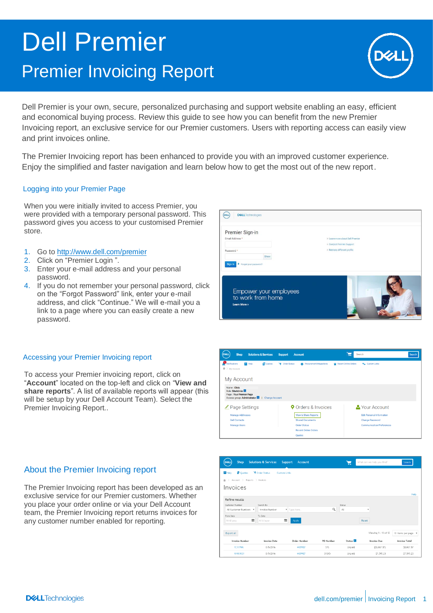# Dell Premier Premier Invoicing Report



Dell Premier is your own, secure, personalized purchasing and support website enabling an easy, efficient and economical buying process. Review this guide to see how you can benefit from the new Premier Invoicing report, an exclusive service for our Premier customers. Users with reporting access can easily view and print invoices online.

The Premier Invoicing report has been enhanced to provide you with an improved customer experience. Enjoy the simplified and faster navigation and learn below how to get the most out of the new report.

# Logging into your Premier Page

When you were initially invited to access Premier, you were provided with a temporary personal password. This password gives you access to your customised Premier store.

- 1. Go to <http://www.dell.com/premier>
- 2. Click on "Premier Login ".
- 3. Enter your e-mail address and your personal password.
- 4. If you do not remember your personal password, click on the "Forgot Password" link, enter your e-mail address, and click "Continue." We will e-mail you a link to a page where you can easily create a new password.



#### Accessing your Premier Invoicing report

To access your Premier invoicing report, click on "**Account**" located on the top-left and click on "**View and share reports**". A list of available reports will appear (this will be setup by your Dell Account Team). Select the Premier Invoicing Report..

# About the Premier Invoicing report

The Premier Invoicing report has been developed as an exclusive service for our Premier customers. Whether you place your order online or via your Dell Account team, the Premier Invoicing report returns invoices for any customer number enabled for reporting.



| Shop<br>DELL                                                       | <b>Solutions &amp; Services</b> | Support<br>Account  |           | ਸ਼                  | What can we help you find? | Search:              |
|--------------------------------------------------------------------|---------------------------------|---------------------|-----------|---------------------|----------------------------|----------------------|
| <b>R</b> Help<br><b>目</b> Quotes                                   | <b>V</b> Order Status           | <b>Custom Links</b> |           |                     |                            |                      |
| $Account$ $>$ Reports $>$ Invoices<br>$\rightarrow$<br>$\triangle$ |                                 |                     |           |                     |                            |                      |
| Invoices                                                           |                                 |                     |           |                     |                            |                      |
|                                                                    |                                 |                     |           |                     |                            | Help                 |
| Refine results                                                     |                                 |                     |           |                     |                            |                      |
| Customer Number                                                    | Search By                       |                     |           | Status              |                            |                      |
| All Customer Numbers v                                             | Invoice Number                  | Type here           | Q         | All                 | ۰                          |                      |
| From Date                                                          | To Date                         |                     |           |                     |                            |                      |
| 鼺<br>M/d/yyyy                                                      | M/d/yyyy                        | 臝<br>Apply          |           |                     | Reset                      |                      |
|                                                                    |                                 |                     |           |                     |                            |                      |
| Export all                                                         |                                 |                     |           |                     | Viewing 1 - 10 of 12       | 10 items per page *  |
| <b>Invoice Number</b>                                              | <b>Invoice Date</b>             | Order Number        | PO Number | Status <sup>1</sup> | <b>Invoice Due</b>         | <b>Invoice Total</b> |
| <b>YC117WA</b>                                                     | 8/5/2016                        | 4489987             | SYS       | Unpaid              | [\$8,067.57]               | \$8,067.57           |
| 101001035                                                          | 8/5/2016                        | 4489987             | SYS45-    | Unpaid              | \$7,595.23                 | \$7,595.23           |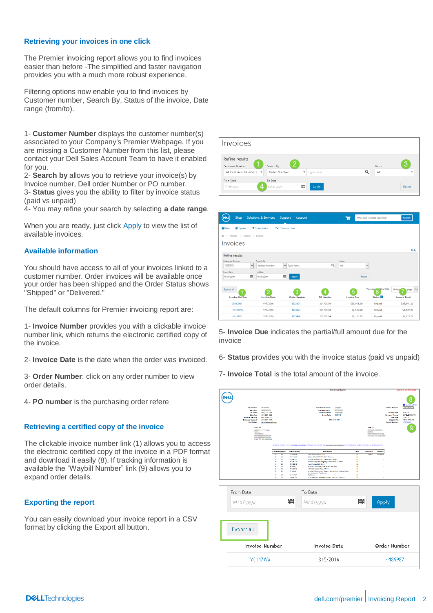#### **Retrieving your invoices in one click**

The Premier invoicing report allows you to find invoices easier than before -The simplified and faster navigation provides you with a much more robust experience.

Filtering options now enable you to find invoices by Customer number, Search By, Status of the invoice, Date range (from/to).

1- **Customer Number** displays the customer number(s) associated to your Company's Premier Webpage. If you are missing a Customer Number from this list, please contact your Dell Sales Account Team to have it enabled for you.

2- **Search by** allows you to retrieve your invoice(s) by Invoice number, Dell order Number or PO number. 3- **Status** gives you the ability to filter by invoice status (paid vs unpaid)

4- You may refine your search by selecting **a date range**.

When you are ready, just click Apply to view the list of available invoices.

#### **Available information**

You should have access to all of your invoices linked to a customer number. Order invoices will be available once your order has been shipped and the Order Status shows "Shipped" or "Delivered."

The default columns for Premier invoicing report are:

1- **Invoice Number** provides you with a clickable invoice number link, which returns the electronic certified copy of the invoice.

2- **Invoice Date** is the date when the order was invoiced.

3- **Order Number**: click on any order number to view order details.

4- **PO number** is the purchasing order refere

#### **Retrieving a certified copy of the invoice**

The clickable invoice number link (1) allows you to access the electronic certified copy of the invoice in a PDF format and download it easily (8). If tracking information is available the "Waybill Number" link (9) allows you to expand order details.

#### **Exporting the report**

You can easily download your invoice report in a CSV format by clicking the Export all button.



| Shop<br><b>DEL</b>                     | <b>Solutions &amp; Services</b>                    | Support<br>Account  |                  | ь                    | What can we help you find?       | Search                          |
|----------------------------------------|----------------------------------------------------|---------------------|------------------|----------------------|----------------------------------|---------------------------------|
| 目 Quotes<br><b>R</b> Help              | <b>V</b> Order Status<br>÷,                        | <b>Custom Links</b> |                  |                      |                                  |                                 |
| Account > Reports > Invoices<br>슈<br>> |                                                    |                     |                  |                      |                                  |                                 |
| Invoices                               |                                                    |                     |                  |                      |                                  |                                 |
|                                        |                                                    |                     |                  |                      |                                  | Help                            |
| <b>Refine results</b>                  |                                                    |                     |                  |                      |                                  |                                 |
| <b>Customer Number</b>                 | Search By<br>$\checkmark$<br><b>Invoice Number</b> | V Type here         | ۹                | <b>Status</b><br>All | $\checkmark$                     |                                 |
| From Date                              | <b>To Date</b>                                     |                     |                  |                      |                                  |                                 |
| M/d/yyyy                               | 量<br>M/d/yyyy                                      | 旨<br>Apply          |                  | Reset                |                                  |                                 |
|                                        |                                                    |                     |                  |                      |                                  |                                 |
| <b>Export all</b>                      | V.                                                 | 3                   | 4                | 5                    | Viewing <b>4mail</b> of 836<br>6 | $\checkmark$<br>10 iten<br>page |
| <b>Invoice Number</b>                  | <b>Invoice Date</b>                                | <b>Order Number</b> | <b>PO Number</b> | <b>Invoice Due</b>   | Status <sup>II</sup>             | <b>Invoice Total</b>            |
| <b>XK1K3KR</b>                         | 9/7/2016                                           | 1223474             | 201701354        | \$25,941.30          | Unpaid                           | \$25,941.30                     |
| XK1JXT96                               | 9/7/2016                                           | 1223474             | 201701354        | \$2,539.20           | <b>Unpaid</b>                    | \$2,539.20                      |
| XK1JXT9                                | 9/7/2016                                           | 1223474             | 201701354        | \$1,115.25           | <b>Unpaid</b>                    | \$1,115.25                      |

5- **Invoice Due** indicates the partial/full amount due for the invoice

6- **Status** provides you with the invoice status (paid vs unpaid)

7- **Invoice Total** is the total amount of the invoice.